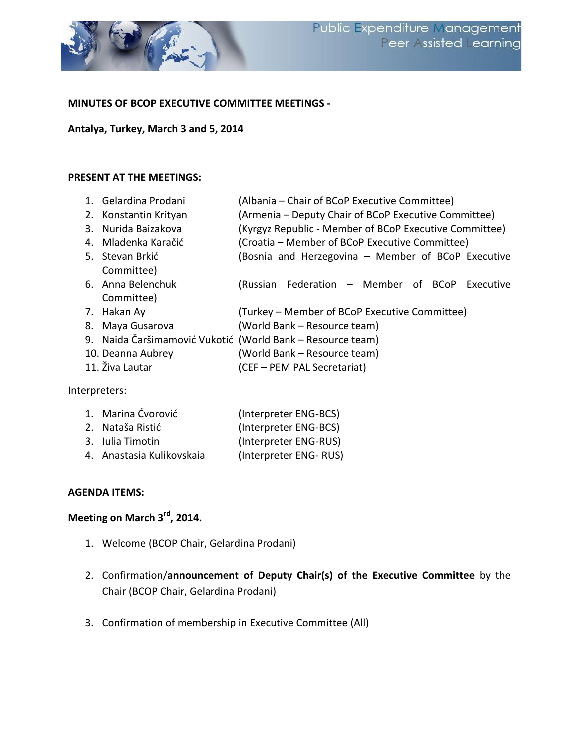

#### **MINUTES OF BCOP EXECUTIVE COMMITTEE MEETINGS -**

#### **Antalya, Turkey, March 3 and 5, 2014**

#### **PRESENT AT THE MEETINGS:**

| 1. Gelardina Prodani  | (Albania - Chair of BCoP Executive Committee)              |  |
|-----------------------|------------------------------------------------------------|--|
| 2. Konstantin Krityan | (Armenia – Deputy Chair of BCoP Executive Committee)       |  |
| 3. Nurida Baizakova   | (Kyrgyz Republic - Member of BCoP Executive Committee)     |  |
| 4. Mladenka Karačić   | (Croatia – Member of BCoP Executive Committee)             |  |
| 5. Stevan Brkić       | (Bosnia and Herzegovina - Member of BCoP Executive         |  |
| Committee)            |                                                            |  |
| 6. Anna Belenchuk     | (Russian Federation – Member of BCoP Executive             |  |
| Committee)            |                                                            |  |
| 7. Hakan Ay           | (Turkey – Member of BCoP Executive Committee)              |  |
| 8. Maya Gusarova      | (World Bank - Resource team)                               |  |
|                       | 9. Naida Čaršimamović Vukotić (World Bank – Resource team) |  |
| 10. Deanna Aubrey     | (World Bank - Resource team)                               |  |
| 11. Živa Lautar       | (CEF - PEM PAL Secretariat)                                |  |

Interpreters:

| 1. Marina Ćvorović        | (Interpreter ENG-BCS) |
|---------------------------|-----------------------|
| 2. Nataša Ristić          | (Interpreter ENG-BCS) |
| 3. Iulia Timotin          | (Interpreter ENG-RUS) |
| 4. Anastasia Kulikovskaia | (Interpreter ENG-RUS) |
|                           |                       |

#### **AGENDA ITEMS:**

# **Meeting on March 3rd, 2014.**

- 1. Welcome (BCOP Chair, Gelardina Prodani)
- 2. Confirmation/**announcement of Deputy Chair(s) of the Executive Committee** by the Chair (BCOP Chair, Gelardina Prodani)
- 3. Confirmation of membership in Executive Committee (All)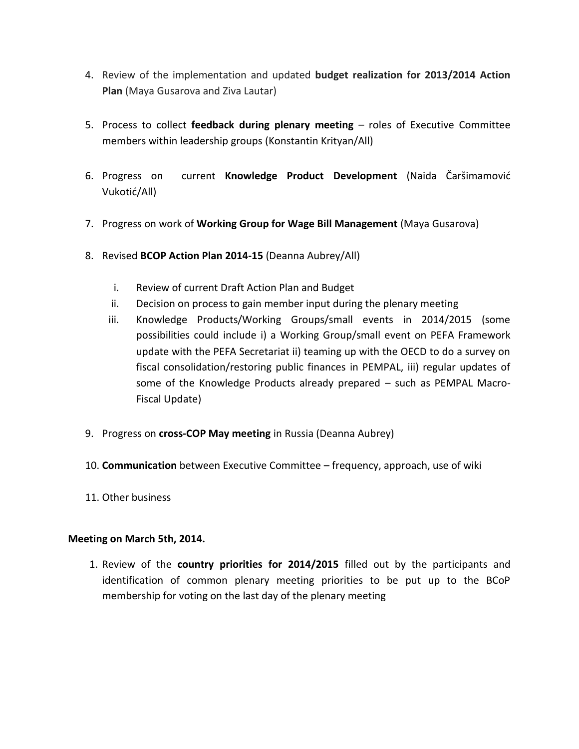- 4. Review of the implementation and updated **budget realization for 2013/2014 Action Plan** (Maya Gusarova and Ziva Lautar)
- 5. Process to collect **feedback during plenary meeting** roles of Executive Committee members within leadership groups (Konstantin Krityan/All)
- 6. Progress on current **Knowledge Product Development** (Naida Čaršimamović Vukotić/All)
- 7. Progress on work of **Working Group for Wage Bill Management** (Maya Gusarova)
- 8. Revised **BCOP Action Plan 2014-15** (Deanna Aubrey/All)
	- i. Review of current Draft Action Plan and Budget
	- ii. Decision on process to gain member input during the plenary meeting
	- iii. Knowledge Products/Working Groups/small events in 2014/2015 (some possibilities could include i) a Working Group/small event on PEFA Framework update with the PEFA Secretariat ii) teaming up with the OECD to do a survey on fiscal consolidation/restoring public finances in PEMPAL, iii) regular updates of some of the Knowledge Products already prepared – such as PEMPAL Macro-Fiscal Update)
- 9. Progress on **cross-COP May meeting** in Russia (Deanna Aubrey)
- 10. **Communication** between Executive Committee frequency, approach, use of wiki
- 11. Other business

### **Meeting on March 5th, 2014.**

1. Review of the **country priorities for 2014/2015** filled out by the participants and identification of common plenary meeting priorities to be put up to the BCoP membership for voting on the last day of the plenary meeting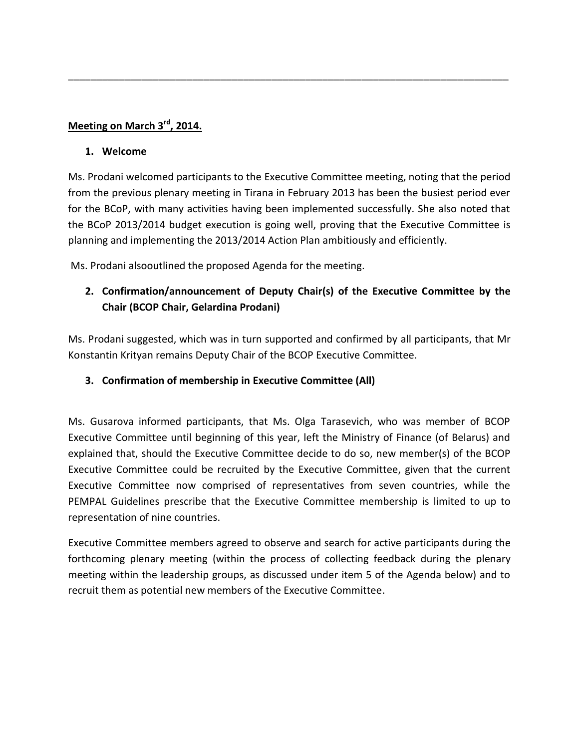## **Meeting on March 3rd, 2014.**

#### **1. Welcome**

Ms. Prodani welcomed participants to the Executive Committee meeting, noting that the period from the previous plenary meeting in Tirana in February 2013 has been the busiest period ever for the BCoP, with many activities having been implemented successfully. She also noted that the BCoP 2013/2014 budget execution is going well, proving that the Executive Committee is planning and implementing the 2013/2014 Action Plan ambitiously and efficiently.

\_\_\_\_\_\_\_\_\_\_\_\_\_\_\_\_\_\_\_\_\_\_\_\_\_\_\_\_\_\_\_\_\_\_\_\_\_\_\_\_\_\_\_\_\_\_\_\_\_\_\_\_\_\_\_\_\_\_\_\_\_\_\_\_\_\_\_\_\_\_\_\_\_\_\_\_\_\_

Ms. Prodani alsooutlined the proposed Agenda for the meeting.

# **2. Confirmation/announcement of Deputy Chair(s) of the Executive Committee by the Chair (BCOP Chair, Gelardina Prodani)**

Ms. Prodani suggested, which was in turn supported and confirmed by all participants, that Mr Konstantin Krityan remains Deputy Chair of the BCOP Executive Committee.

### **3. Confirmation of membership in Executive Committee (All)**

Ms. Gusarova informed participants, that Ms. Olga Tarasevich, who was member of BCOP Executive Committee until beginning of this year, left the Ministry of Finance (of Belarus) and explained that, should the Executive Committee decide to do so, new member(s) of the BCOP Executive Committee could be recruited by the Executive Committee, given that the current Executive Committee now comprised of representatives from seven countries, while the PEMPAL Guidelines prescribe that the Executive Committee membership is limited to up to representation of nine countries.

Executive Committee members agreed to observe and search for active participants during the forthcoming plenary meeting (within the process of collecting feedback during the plenary meeting within the leadership groups, as discussed under item 5 of the Agenda below) and to recruit them as potential new members of the Executive Committee.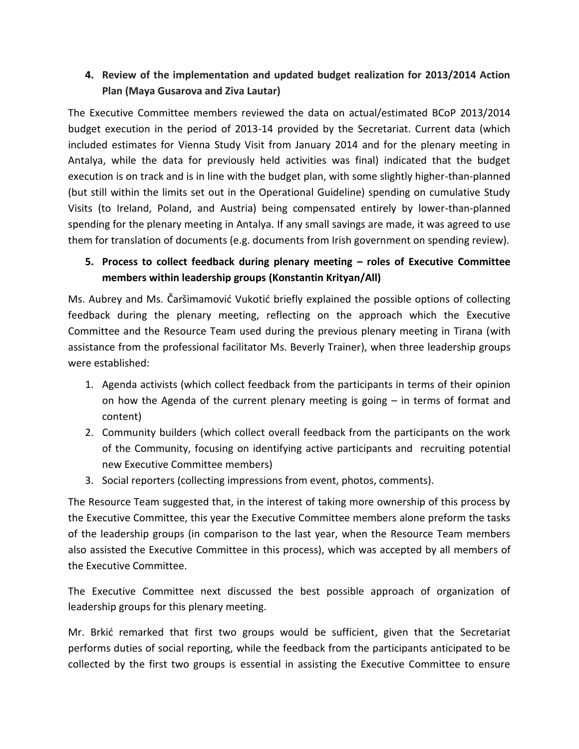# **4. Review of the implementation and updated budget realization for 2013/2014 Action Plan (Maya Gusarova and Ziva Lautar)**

The Executive Committee members reviewed the data on actual/estimated BCoP 2013/2014 budget execution in the period of 2013-14 provided by the Secretariat. Current data (which included estimates for Vienna Study Visit from January 2014 and for the plenary meeting in Antalya, while the data for previously held activities was final) indicated that the budget execution is on track and is in line with the budget plan, with some slightly higher-than-planned (but still within the limits set out in the Operational Guideline) spending on cumulative Study Visits (to Ireland, Poland, and Austria) being compensated entirely by lower-than-planned spending for the plenary meeting in Antalya. If any small savings are made, it was agreed to use them for translation of documents (e.g. documents from Irish government on spending review).

## **5. Process to collect feedback during plenary meeting – roles of Executive Committee members within leadership groups (Konstantin Krityan/All)**

Ms. Aubrey and Ms. Čaršimamović Vukotić briefly explained the possible options of collecting feedback during the plenary meeting, reflecting on the approach which the Executive Committee and the Resource Team used during the previous plenary meeting in Tirana (with assistance from the professional facilitator Ms. Beverly Trainer), when three leadership groups were established:

- 1. Agenda activists (which collect feedback from the participants in terms of their opinion on how the Agenda of the current plenary meeting is going – in terms of format and content)
- 2. Community builders (which collect overall feedback from the participants on the work of the Community, focusing on identifying active participants and recruiting potential new Executive Committee members)
- 3. Social reporters (collecting impressions from event, photos, comments).

The Resource Team suggested that, in the interest of taking more ownership of this process by the Executive Committee, this year the Executive Committee members alone preform the tasks of the leadership groups (in comparison to the last year, when the Resource Team members also assisted the Executive Committee in this process), which was accepted by all members of the Executive Committee.

The Executive Committee next discussed the best possible approach of organization of leadership groups for this plenary meeting.

Mr. Brkić remarked that first two groups would be sufficient, given that the Secretariat performs duties of social reporting, while the feedback from the participants anticipated to be collected by the first two groups is essential in assisting the Executive Committee to ensure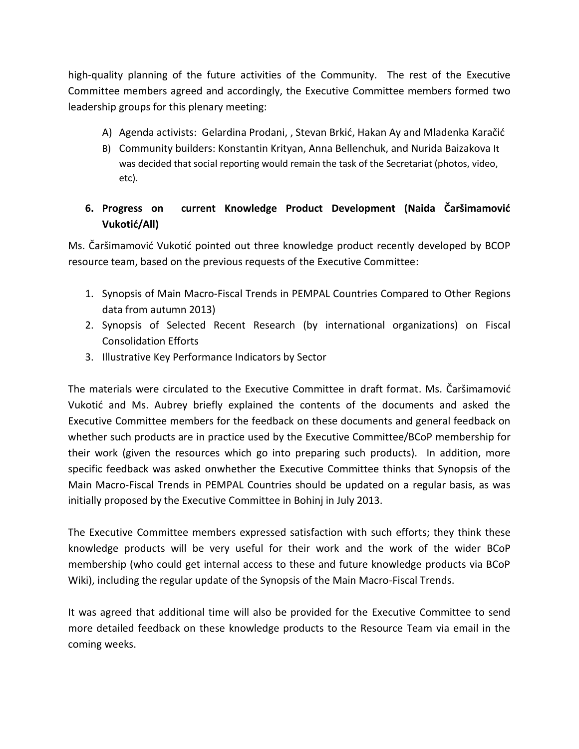high-quality planning of the future activities of the Community. The rest of the Executive Committee members agreed and accordingly, the Executive Committee members formed two leadership groups for this plenary meeting:

- A) Agenda activists: Gelardina Prodani, , Stevan Brkić, Hakan Ay and Mladenka Karačić
- B) Community builders: Konstantin Krityan, Anna Bellenchuk, and Nurida Baizakova It was decided that social reporting would remain the task of the Secretariat (photos, video, etc).

# **6. Progress on current Knowledge Product Development (Naida Čaršimamović Vukotić/All)**

Ms. Čaršimamović Vukotić pointed out three knowledge product recently developed by BCOP resource team, based on the previous requests of the Executive Committee:

- 1. Synopsis of Main Macro-Fiscal Trends in PEMPAL Countries Compared to Other Regions data from autumn 2013)
- 2. Synopsis of Selected Recent Research (by international organizations) on Fiscal Consolidation Efforts
- 3. Illustrative Key Performance Indicators by Sector

The materials were circulated to the Executive Committee in draft format. Ms. Čaršimamović Vukotić and Ms. Aubrey briefly explained the contents of the documents and asked the Executive Committee members for the feedback on these documents and general feedback on whether such products are in practice used by the Executive Committee/BCoP membership for their work (given the resources which go into preparing such products). In addition, more specific feedback was asked onwhether the Executive Committee thinks that Synopsis of the Main Macro-Fiscal Trends in PEMPAL Countries should be updated on a regular basis, as was initially proposed by the Executive Committee in Bohinj in July 2013.

The Executive Committee members expressed satisfaction with such efforts; they think these knowledge products will be very useful for their work and the work of the wider BCoP membership (who could get internal access to these and future knowledge products via BCoP Wiki), including the regular update of the Synopsis of the Main Macro-Fiscal Trends.

It was agreed that additional time will also be provided for the Executive Committee to send more detailed feedback on these knowledge products to the Resource Team via email in the coming weeks.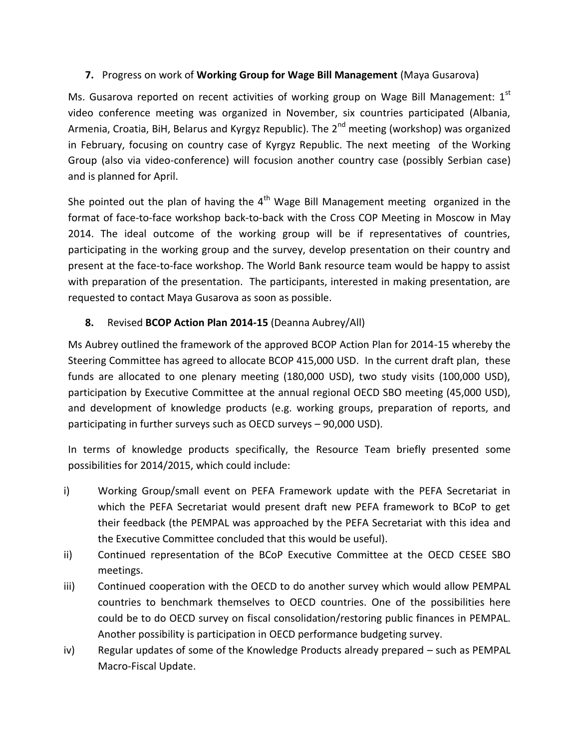## **7.** Progress on work of **Working Group for Wage Bill Management** (Maya Gusarova)

Ms. Gusarova reported on recent activities of working group on Wage Bill Management: 1<sup>st</sup> video conference meeting was organized in November, six countries participated (Albania, Armenia, Croatia, BiH, Belarus and Kyrgyz Republic). The 2<sup>nd</sup> meeting (workshop) was organized in February, focusing on country case of Kyrgyz Republic. The next meeting of the Working Group (also via video-conference) will focusion another country case (possibly Serbian case) and is planned for April.

She pointed out the plan of having the  $4<sup>th</sup>$  Wage Bill Management meeting organized in the format of face-to-face workshop back-to-back with the Cross COP Meeting in Moscow in May 2014. The ideal outcome of the working group will be if representatives of countries, participating in the working group and the survey, develop presentation on their country and present at the face-to-face workshop. The World Bank resource team would be happy to assist with preparation of the presentation. The participants, interested in making presentation, are requested to contact Maya Gusarova as soon as possible.

## **8.** Revised **BCOP Action Plan 2014-15** (Deanna Aubrey/All)

Ms Aubrey outlined the framework of the approved BCOP Action Plan for 2014-15 whereby the Steering Committee has agreed to allocate BCOP 415,000 USD. In the current draft plan, these funds are allocated to one plenary meeting (180,000 USD), two study visits (100,000 USD), participation by Executive Committee at the annual regional OECD SBO meeting (45,000 USD), and development of knowledge products (e.g. working groups, preparation of reports, and participating in further surveys such as OECD surveys – 90,000 USD).

In terms of knowledge products specifically, the Resource Team briefly presented some possibilities for 2014/2015, which could include:

- i) Working Group/small event on PEFA Framework update with the PEFA Secretariat in which the PEFA Secretariat would present draft new PEFA framework to BCoP to get their feedback (the PEMPAL was approached by the PEFA Secretariat with this idea and the Executive Committee concluded that this would be useful).
- ii) Continued representation of the BCoP Executive Committee at the OECD CESEE SBO meetings.
- iii) Continued cooperation with the OECD to do another survey which would allow PEMPAL countries to benchmark themselves to OECD countries. One of the possibilities here could be to do OECD survey on fiscal consolidation/restoring public finances in PEMPAL. Another possibility is participation in OECD performance budgeting survey.
- iv) Regular updates of some of the Knowledge Products already prepared such as PEMPAL Macro-Fiscal Update.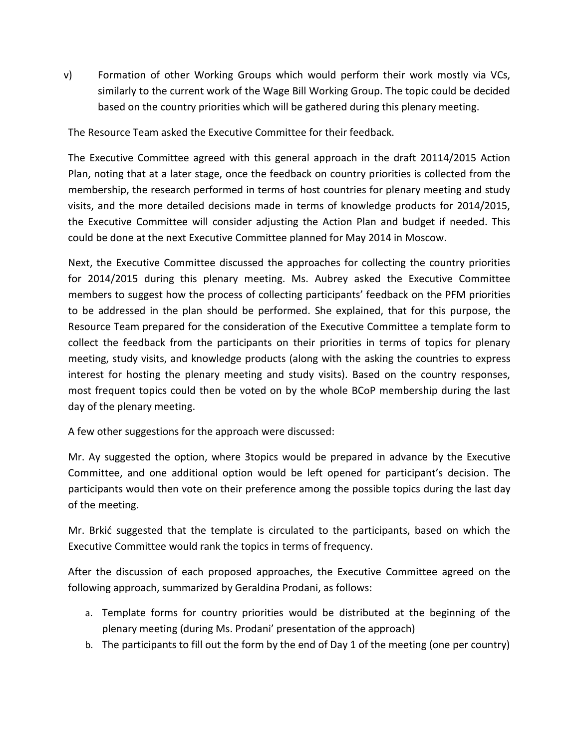v) Formation of other Working Groups which would perform their work mostly via VCs, similarly to the current work of the Wage Bill Working Group. The topic could be decided based on the country priorities which will be gathered during this plenary meeting.

The Resource Team asked the Executive Committee for their feedback.

The Executive Committee agreed with this general approach in the draft 20114/2015 Action Plan, noting that at a later stage, once the feedback on country priorities is collected from the membership, the research performed in terms of host countries for plenary meeting and study visits, and the more detailed decisions made in terms of knowledge products for 2014/2015, the Executive Committee will consider adjusting the Action Plan and budget if needed. This could be done at the next Executive Committee planned for May 2014 in Moscow.

Next, the Executive Committee discussed the approaches for collecting the country priorities for 2014/2015 during this plenary meeting. Ms. Aubrey asked the Executive Committee members to suggest how the process of collecting participants' feedback on the PFM priorities to be addressed in the plan should be performed. She explained, that for this purpose, the Resource Team prepared for the consideration of the Executive Committee a template form to collect the feedback from the participants on their priorities in terms of topics for plenary meeting, study visits, and knowledge products (along with the asking the countries to express interest for hosting the plenary meeting and study visits). Based on the country responses, most frequent topics could then be voted on by the whole BCoP membership during the last day of the plenary meeting.

A few other suggestions for the approach were discussed:

Mr. Ay suggested the option, where 3topics would be prepared in advance by the Executive Committee, and one additional option would be left opened for participant's decision. The participants would then vote on their preference among the possible topics during the last day of the meeting.

Mr. Brkić suggested that the template is circulated to the participants, based on which the Executive Committee would rank the topics in terms of frequency.

After the discussion of each proposed approaches, the Executive Committee agreed on the following approach, summarized by Geraldina Prodani, as follows:

- a. Template forms for country priorities would be distributed at the beginning of the plenary meeting (during Ms. Prodani' presentation of the approach)
- b. The participants to fill out the form by the end of Day 1 of the meeting (one per country)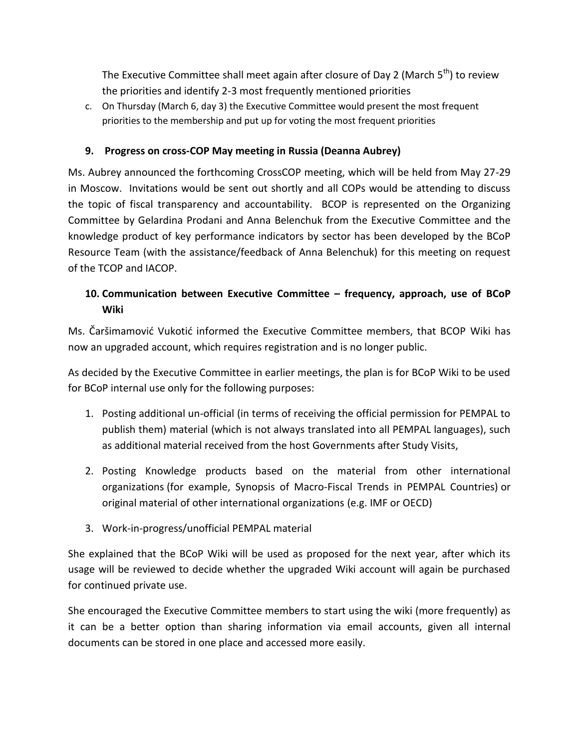The Executive Committee shall meet again after closure of Day 2 (March  $5<sup>th</sup>$ ) to review the priorities and identify 2-3 most frequently mentioned priorities

c. On Thursday (March 6, day 3) the Executive Committee would present the most frequent priorities to the membership and put up for voting the most frequent priorities

## **9. Progress on cross-COP May meeting in Russia (Deanna Aubrey)**

Ms. Aubrey announced the forthcoming CrossCOP meeting, which will be held from May 27-29 in Moscow. Invitations would be sent out shortly and all COPs would be attending to discuss the topic of fiscal transparency and accountability. BCOP is represented on the Organizing Committee by Gelardina Prodani and Anna Belenchuk from the Executive Committee and the knowledge product of key performance indicators by sector has been developed by the BCoP Resource Team (with the assistance/feedback of Anna Belenchuk) for this meeting on request of the TCOP and IACOP.

# **10. Communication between Executive Committee – frequency, approach, use of BCoP Wiki**

Ms. Čaršimamović Vukotić informed the Executive Committee members, that BCOP Wiki has now an upgraded account, which requires registration and is no longer public.

As decided by the Executive Committee in earlier meetings, the plan is for BCoP Wiki to be used for BCoP internal use only for the following purposes:

- 1. Posting additional un-official (in terms of receiving the official permission for PEMPAL to publish them) material (which is not always translated into all PEMPAL languages), such as additional material received from the host Governments after Study Visits,
- 2. Posting Knowledge products based on the material from other international organizations (for example, Synopsis of Macro-Fiscal Trends in PEMPAL Countries) or original material of other international organizations (e.g. IMF or OECD)
- 3. Work-in-progress/unofficial PEMPAL material

She explained that the BCoP Wiki will be used as proposed for the next year, after which its usage will be reviewed to decide whether the upgraded Wiki account will again be purchased for continued private use.

She encouraged the Executive Committee members to start using the wiki (more frequently) as it can be a better option than sharing information via email accounts, given all internal documents can be stored in one place and accessed more easily.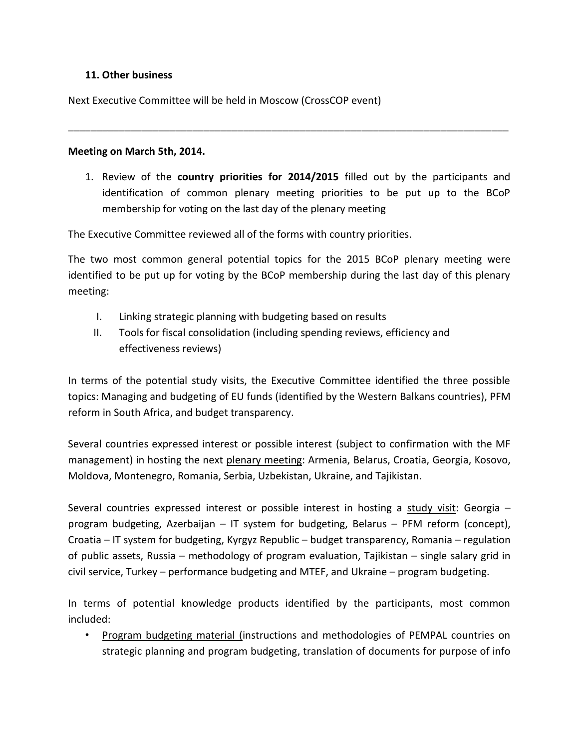#### **11. Other business**

Next Executive Committee will be held in Moscow (CrossCOP event)

#### **Meeting on March 5th, 2014.**

1. Review of the **country priorities for 2014/2015** filled out by the participants and identification of common plenary meeting priorities to be put up to the BCoP membership for voting on the last day of the plenary meeting

\_\_\_\_\_\_\_\_\_\_\_\_\_\_\_\_\_\_\_\_\_\_\_\_\_\_\_\_\_\_\_\_\_\_\_\_\_\_\_\_\_\_\_\_\_\_\_\_\_\_\_\_\_\_\_\_\_\_\_\_\_\_\_\_\_\_\_\_\_\_\_\_\_\_\_\_\_\_

The Executive Committee reviewed all of the forms with country priorities.

The two most common general potential topics for the 2015 BCoP plenary meeting were identified to be put up for voting by the BCoP membership during the last day of this plenary meeting:

- I. Linking strategic planning with budgeting based on results
- II. Tools for fiscal consolidation (including spending reviews, efficiency and effectiveness reviews)

In terms of the potential study visits, the Executive Committee identified the three possible topics: Managing and budgeting of EU funds (identified by the Western Balkans countries), PFM reform in South Africa, and budget transparency.

Several countries expressed interest or possible interest (subject to confirmation with the MF management) in hosting the next plenary meeting: Armenia, Belarus, Croatia, Georgia, Kosovo, Moldova, Montenegro, Romania, Serbia, Uzbekistan, Ukraine, and Tajikistan.

Several countries expressed interest or possible interest in hosting a study visit: Georgia – program budgeting, Azerbaijan – IT system for budgeting, Belarus – PFM reform (concept), Croatia – IT system for budgeting, Kyrgyz Republic – budget transparency, Romania – regulation of public assets, Russia – methodology of program evaluation, Tajikistan – single salary grid in civil service, Turkey – performance budgeting and MTEF, and Ukraine – program budgeting.

In terms of potential knowledge products identified by the participants, most common included:

• Program budgeting material (instructions and methodologies of PEMPAL countries on strategic planning and program budgeting, translation of documents for purpose of info